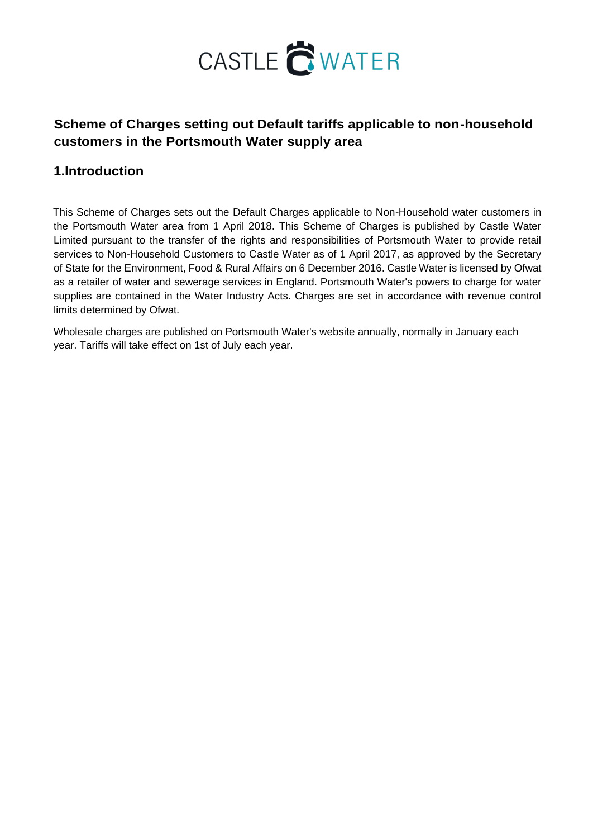

## **Scheme of Charges setting out Default tariffs applicable to non-household customers in the Portsmouth Water supply area**

## **1.lntroduction**

This Scheme of Charges sets out the Default Charges applicable to Non-Household water customers in the Portsmouth Water area from 1 April 2018. This Scheme of Charges is published by Castle Water Limited pursuant to the transfer of the rights and responsibilities of Portsmouth Water to provide retail services to Non-Household Customers to Castle Water as of 1 April 2017, as approved by the Secretary of State for the Environment, Food & Rural Affairs on 6 December 2016. Castle Water is licensed by Ofwat as a retailer of water and sewerage services in England. Portsmouth Water's powers to charge for water supplies are contained in the Water Industry Acts. Charges are set in accordance with revenue control limits determined by Ofwat.

Wholesale charges are published on Portsmouth Water's website annually, normally in January each year. Tariffs will take effect on 1st of July each year.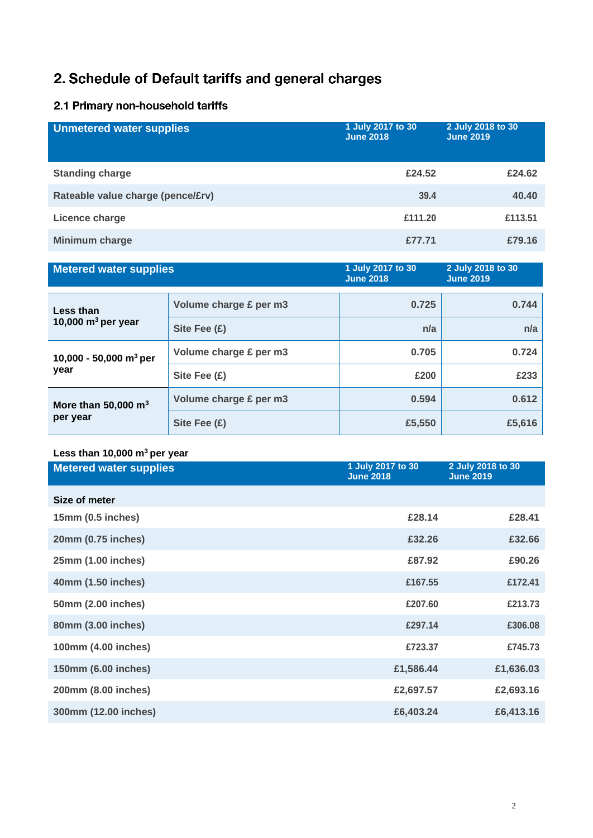# 2. Schedule of Default tariffs and general charges

## 2.1 Primary non-household tariffs

| <b>Unmetered water supplies</b>   | 1 July 2017 to 30<br><b>June 2018</b> | 2 July 2018 to 30<br><b>June 2019</b> |
|-----------------------------------|---------------------------------------|---------------------------------------|
| <b>Standing charge</b>            | £24.52                                | £24.62                                |
| Rateable value charge (pence/£rv) | 39.4                                  | 40.40                                 |
| Licence charge                    | £111.20                               | £113.51                               |
| Minimum charge                    | £77.71                                | £79.16                                |

| <b>Metered water supplies</b>              |                        | 1 July 2017 to 30<br><b>June 2018</b> | 2 July 2018 to 30<br><b>June 2019</b> |
|--------------------------------------------|------------------------|---------------------------------------|---------------------------------------|
|                                            |                        |                                       |                                       |
| Less than                                  | Volume charge £ per m3 | 0.725                                 | 0.744                                 |
| 10,000 $m^3$ per year                      | Site Fee (£)           | n/a                                   | n/a                                   |
| 10,000 - 50,000 m <sup>3</sup> per<br>year | Volume charge £ per m3 | 0.705                                 | 0.724                                 |
|                                            | Site Fee (£)           | £200                                  | £233                                  |
| More than 50,000 $m3$<br>per year          | Volume charge £ per m3 | 0.594                                 | 0.612                                 |
|                                            | Site Fee $(E)$         | £5,550                                | £5,616                                |

## **Less than 10,000 m<sup>3</sup>per year**

| <b>Metered water supplies</b> | 1 July 2017 to 30<br><b>June 2018</b> | 2 July 2018 to 30<br><b>June 2019</b> |
|-------------------------------|---------------------------------------|---------------------------------------|
| Size of meter                 |                                       |                                       |
| 15mm (0.5 inches)             | £28.14                                | £28.41                                |
| 20mm (0.75 inches)            | £32.26                                | £32.66                                |
| 25mm (1.00 inches)            | £87.92                                | £90.26                                |
| 40mm (1.50 inches)            | £167.55                               | £172.41                               |
| 50mm (2.00 inches)            | £207.60                               | £213.73                               |
| 80mm (3.00 inches)            | £297.14                               | £306.08                               |
| 100mm (4.00 inches)           | £723.37                               | £745.73                               |
| 150mm (6.00 inches)           | £1,586.44                             | £1,636.03                             |
| 200mm (8.00 inches)           | £2,697.57                             | £2,693.16                             |
| 300mm (12.00 inches)          | £6,403.24                             | £6,413.16                             |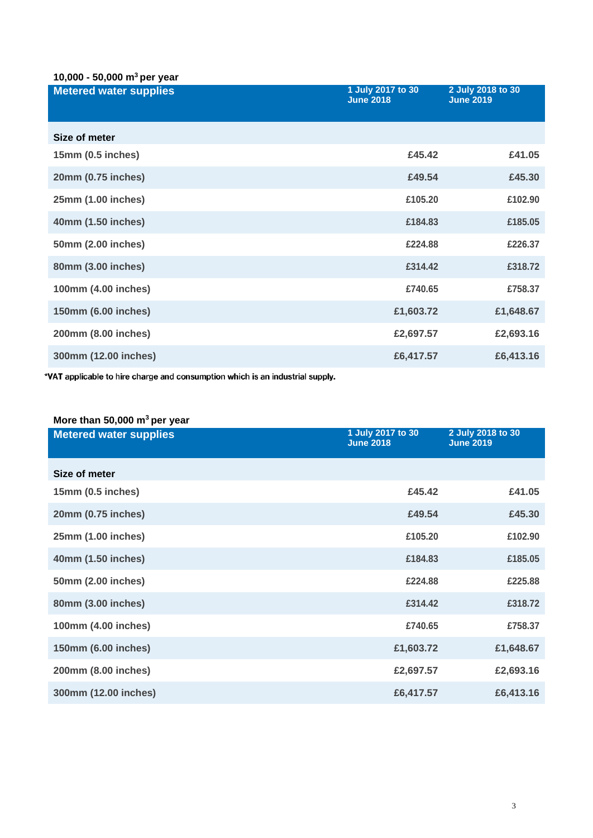#### **10,000 - 50,000 m<sup>3</sup>per year**

| <b>Metered water supplies</b> | 1 July 2017 to 30<br><b>June 2018</b> | 2 July 2018 to 30<br><b>June 2019</b> |
|-------------------------------|---------------------------------------|---------------------------------------|
| Size of meter                 |                                       |                                       |
| 15mm (0.5 inches)             | £45.42                                | £41.05                                |
| 20mm (0.75 inches)            | £49.54                                | £45.30                                |
| 25mm (1.00 inches)            | £105.20                               | £102.90                               |
| 40mm (1.50 inches)            | £184.83                               | £185.05                               |
| 50mm (2.00 inches)            | £224.88                               | £226.37                               |
| 80mm (3.00 inches)            | £314.42                               | £318.72                               |
| 100mm (4.00 inches)           | £740.65                               | £758.37                               |
| 150mm (6.00 inches)           | £1,603.72                             | £1,648.67                             |
| 200mm (8.00 inches)           | £2,697.57                             | £2,693.16                             |
| 300mm (12.00 inches)          | £6,417.57                             | £6,413.16                             |

\*VAT applicable to hire charge and consumption which is an industrial supply.

#### **More than 50,000 m<sup>3</sup>per year**

| <b>Metered water supplies</b> | 1 July 2017 to 30<br><b>June 2018</b> | 2 July 2018 to 30<br><b>June 2019</b> |
|-------------------------------|---------------------------------------|---------------------------------------|
| Size of meter                 |                                       |                                       |
| 15mm (0.5 inches)             | £45.42                                | £41.05                                |
| 20mm (0.75 inches)            | £49.54                                | £45.30                                |
| 25mm (1.00 inches)            | £105.20                               | £102.90                               |
| 40mm (1.50 inches)            | £184.83                               | £185.05                               |
| 50mm (2.00 inches)            | £224.88                               | £225.88                               |
| 80mm (3.00 inches)            | £314.42                               | £318.72                               |
| 100mm (4.00 inches)           | £740.65                               | £758.37                               |
| 150mm (6.00 inches)           | £1,603.72                             | £1,648.67                             |
| 200mm (8.00 inches)           | £2,697.57                             | £2,693.16                             |
| 300mm (12.00 inches)          | £6,417.57                             | £6,413.16                             |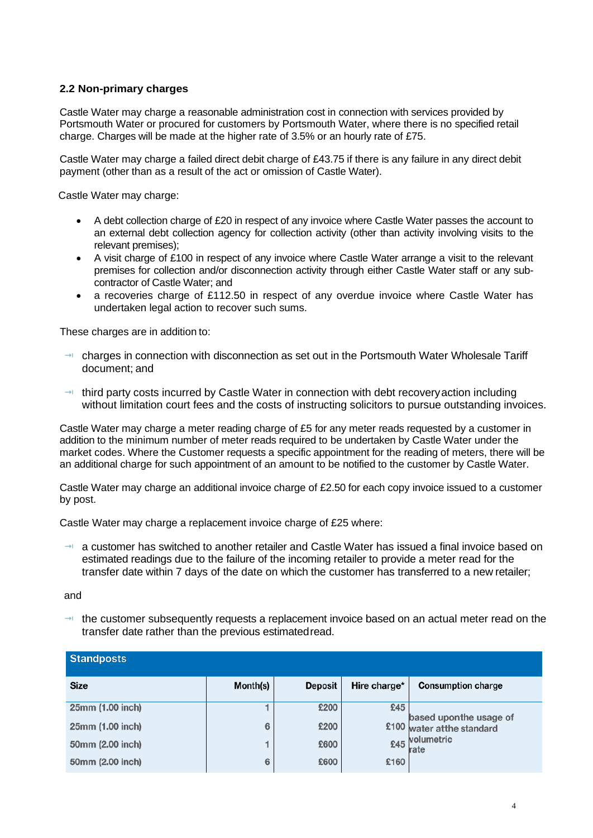#### **2.2 Non-primary charges**

Castle Water may charge a reasonable administration cost in connection with services provided by Portsmouth Water or procured for customers by Portsmouth Water, where there is no specified retail charge. Charges will be made at the higher rate of 3.5% or an hourly rate of £75.

Castle Water may charge a failed direct debit charge of £43.75 if there is any failure in any direct debit payment (other than as a result of the act or omission of Castle Water).

Castle Water may charge:

- A debt collection charge of £20 in respect of any invoice where Castle Water passes the account to an external debt collection agency for collection activity (other than activity involving visits to the relevant premises);
- A visit charge of £100 in respect of any invoice where Castle Water arrange a visit to the relevant premises for collection and/or disconnection activity through either Castle Water staff or any subcontractor of Castle Water; and
- a recoveries charge of £112.50 in respect of any overdue invoice where Castle Water has undertaken legal action to recover such sums.

These charges are in addition to:

- $\rightarrow$  charges in connection with disconnection as set out in the Portsmouth Water Wholesale Tariff document; and
- $\rightarrow$  third party costs incurred by Castle Water in connection with debt recovery action including without limitation court fees and the costs of instructing solicitors to pursue outstanding invoices.

Castle Water may charge a meter reading charge of £5 for any meter reads requested by a customer in addition to the minimum number of meter reads required to be undertaken by Castle Water under the market codes. Where the Customer requests a specific appointment for the reading of meters, there will be an additional charge for such appointment of an amount to be notified to the customer by Castle Water.

Castle Water may charge an additional invoice charge of £2.50 for each copy invoice issued to a customer by post.

Castle Water may charge a replacement invoice charge of £25 where:

 $\rightarrow$  a customer has switched to another retailer and Castle Water has issued a final invoice based on estimated readings due to the failure of the incoming retailer to provide a meter read for the transfer date within 7 days of the date on which the customer has transferred to a new retailer;

and

 $\rightarrow$  the customer subsequently requests a replacement invoice based on an actual meter read on the transfer date rather than the previous estimatedread.

| <b>Standposts</b> |          |                |              |                                                       |
|-------------------|----------|----------------|--------------|-------------------------------------------------------|
| <b>Size</b>       | Month(s) | <b>Deposit</b> | Hire charge* | <b>Consumption charge</b>                             |
| 25mm (1.00 inch)  |          | £200           | £45          |                                                       |
| 25mm (1.00 inch)  | 6        | £200           |              | based upon the usage of<br>£100 water at the standard |
| 50mm (2.00 inch)  |          | £600           |              | £45 volumetric<br>rate                                |
| 50mm (2.00 inch)  | 6        | £600           | £160         |                                                       |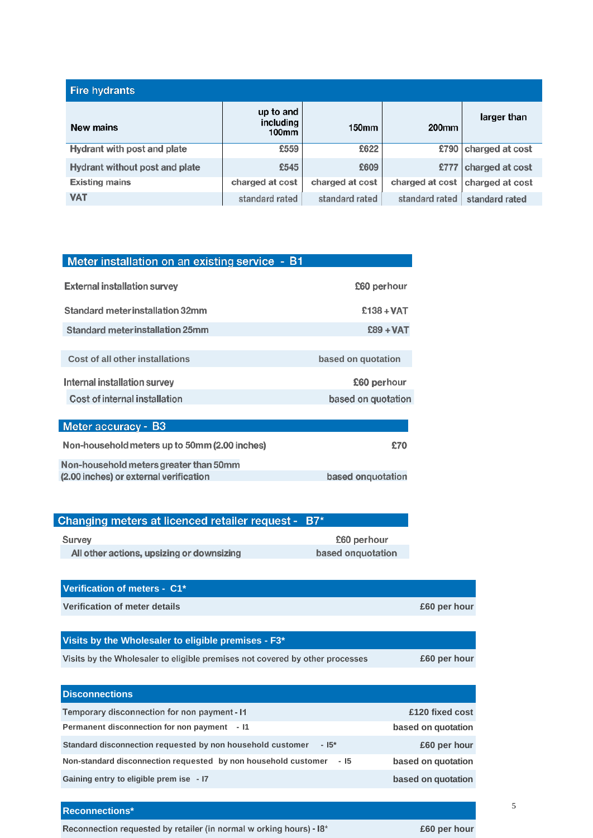| <b>Fire hydrants</b>           |                                 |                 |                 |                 |
|--------------------------------|---------------------------------|-----------------|-----------------|-----------------|
| New mains                      | up to and<br>including<br>100mm | 150mm           | <b>200mm</b>    | larger than     |
| Hydrant with post and plate    | £559                            | £622            | £790            | charged at cost |
| Hydrant without post and plate | £545                            | £609            | £777            | charged at cost |
| <b>Existing mains</b>          | charged at cost                 | charged at cost | charged at cost | charged at cost |
| <b>VAT</b>                     | standard rated                  | standard rated  | standard rated  | standard rated  |

| Meter installation on an existing service - B1 |                    |
|------------------------------------------------|--------------------|
| <b>External installation survey</b>            | £60 perhour        |
| Standard meter installation 32mm               | $£138 + VAT$       |
| <b>Standard meter installation 25mm</b>        | $£89 + VAT$        |
|                                                |                    |
| Cost of all other installations                | based on quotation |
| Internal installation survey                   | £60 perhour        |
| Cost of internal installation                  | based on quotation |
|                                                |                    |
| Meter accuracy - B3                            |                    |
| Non-household meters up to 50mm (2.00 inches)  | £70                |
| Non-household meters greater than 50mm         |                    |

| (2.00 inches) or external verification | based onguotation |
|----------------------------------------|-------------------|
|                                        |                   |
|                                        |                   |

| Changing meters at licenced retailer request - B7* |                   |
|----------------------------------------------------|-------------------|
| Survey                                             | £60 perhour       |
| All other actions, upsizing or downsizing          | based onguotation |
|                                                    |                   |

| Verification of meters - C1*                                                 |                    |
|------------------------------------------------------------------------------|--------------------|
| Verification of meter details                                                | £60 per hour       |
|                                                                              |                    |
| Visits by the Wholesaler to eligible premises - F3*                          |                    |
| Visits by the Wholesaler to eligible premises not covered by other processes | £60 per hour       |
|                                                                              |                    |
| <b>Disconnections</b>                                                        |                    |
| Temporary disconnection for non payment - 11                                 | £120 fixed cost    |
| Permanent disconnection for non payment - I1                                 | based on quotation |
| Standard disconnection requested by non household customer<br>$-15*$         | £60 per hour       |
| Non-standard disconnection requested by non household customer<br>- 15       | based on quotation |

**Gaining entry to eligible prem ise - I7 based on quotation**

**Reconnections\***

Reconnection requested by retailer (in normal w orking hours) -  $18*$ 

**£60 per hour**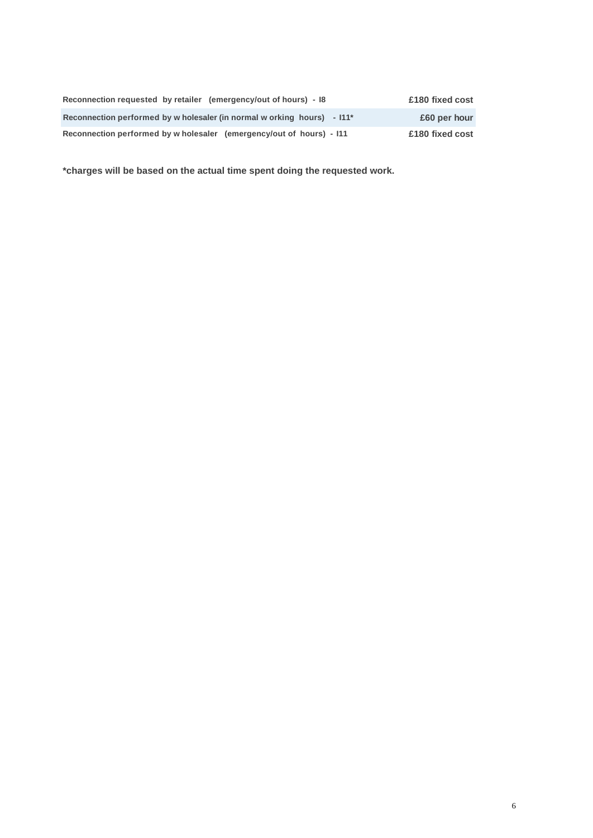| Reconnection requested by retailer (emergency/out of hours) - 18                    | £180 fixed cost |
|-------------------------------------------------------------------------------------|-----------------|
| Reconnection performed by w holesaler (in normal w orking hours) - 111 <sup>*</sup> | £60 per hour    |
| Reconnection performed by w holesaler (emergency/out of hours) - 111                | £180 fixed cost |

**\*charges will be based on the actual time spent doing the requested work.**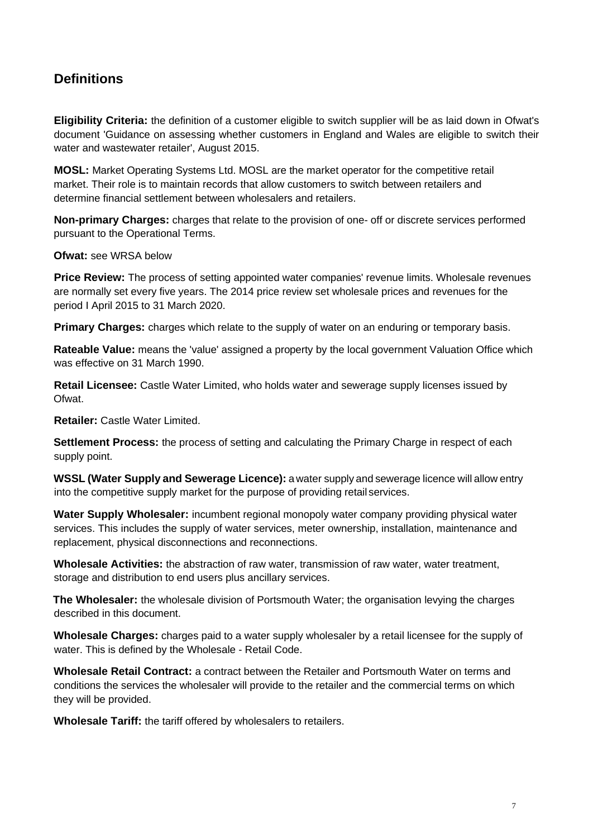# **Definitions**

**Eligibility Criteria:** the definition of a customer eligible to switch supplier will be as laid down in Ofwat's document 'Guidance on assessing whether customers in England and Wales are eligible to switch their water and wastewater retailer', August 2015.

**MOSL:** Market Operating Systems Ltd. MOSL are the market operator for the competitive retail market. Their role is to maintain records that allow customers to switch between retailers and determine financial settlement between wholesalers and retailers.

**Non-primary Charges:** charges that relate to the provision of one- off or discrete services performed pursuant to the Operational Terms.

**Ofwat:** see WRSA below

**Price Review:** The process of setting appointed water companies' revenue limits. Wholesale revenues are normally set every five years. The 2014 price review set wholesale prices and revenues for the period I April 2015 to 31 March 2020.

**Primary Charges:** charges which relate to the supply of water on an enduring or temporary basis.

**Rateable Value:** means the 'value' assigned a property by the local government Valuation Office which was effective on 31 March 1990.

**Retail Licensee:** Castle Water Limited, who holds water and sewerage supply licenses issued by Ofwat.

**Retailer:** Castle Water Limited.

**Settlement Process:** the process of setting and calculating the Primary Charge in respect of each supply point.

**WSSL (Water Supply and Sewerage Licence):** a water supply and sewerage licence will allow entry into the competitive supply market for the purpose of providing retail services.

**Water Supply Wholesaler:** incumbent regional monopoly water company providing physical water services. This includes the supply of water services, meter ownership, installation, maintenance and replacement, physical disconnections and reconnections.

**Wholesale Activities:** the abstraction of raw water, transmission of raw water, water treatment, storage and distribution to end users plus ancillary services.

**The Wholesaler:** the wholesale division of Portsmouth Water; the organisation levying the charges described in this document.

**Wholesale Charges:** charges paid to a water supply wholesaler by a retail licensee for the supply of water. This is defined by the Wholesale - Retail Code.

**Wholesale Retail Contract:** a contract between the Retailer and Portsmouth Water on terms and conditions the services the wholesaler will provide to the retailer and the commercial terms on which they will be provided.

**Wholesale Tariff:** the tariff offered by wholesalers to retailers.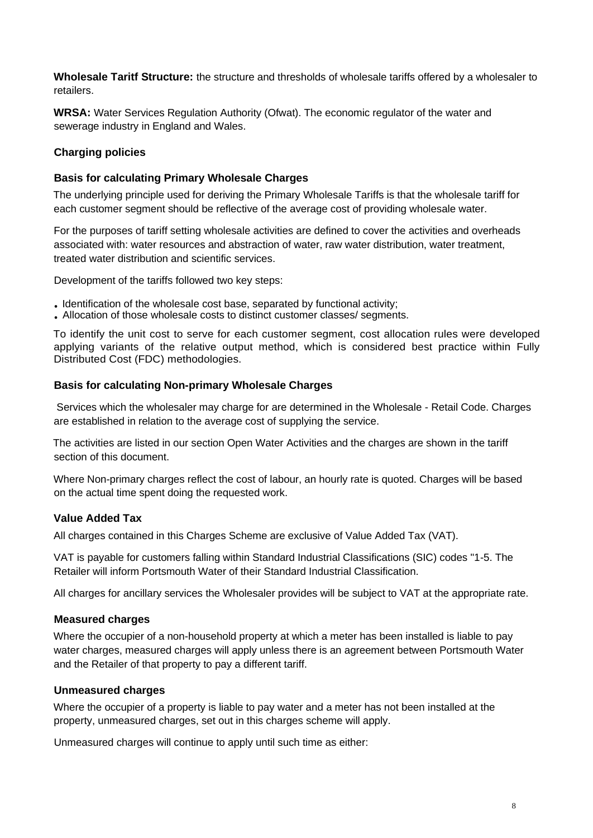**Wholesale Taritf Structure:** the structure and thresholds of wholesale tariffs offered by a wholesaler to retailers.

**WRSA:** Water Services Regulation Authority (Ofwat). The economic regulator of the water and sewerage industry in England and Wales.

#### **Charging policies**

#### **Basis for calculating Primary Wholesale Charges**

The underlying principle used for deriving the Primary Wholesale Tariffs is that the wholesale tariff for each customer segment should be reflective of the average cost of providing wholesale water.

For the purposes of tariff setting wholesale activities are defined to cover the activities and overheads associated with: water resources and abstraction of water, raw water distribution, water treatment, treated water distribution and scientific services.

Development of the tariffs followed two key steps:

- Identification of the wholesale cost base, separated by functional activity;
- Allocation of those wholesale costs to distinct customer classes/ segments.

To identify the unit cost to serve for each customer segment, cost allocation rules were developed applying variants of the relative output method, which is considered best practice within Fully Distributed Cost (FDC) methodologies.

#### **Basis for calculating Non-primary Wholesale Charges**

Services which the wholesaler may charge for are determined in the Wholesale - Retail Code. Charges are established in relation to the average cost of supplying the service.

The activities are listed in our section Open Water Activities and the charges are shown in the tariff section of this document.

Where Non-primary charges reflect the cost of labour, an hourly rate is quoted. Charges will be based on the actual time spent doing the requested work.

#### **Value Added Tax**

All charges contained in this Charges Scheme are exclusive of Value Added Tax (VAT).

VAT is payable for customers falling within Standard Industrial Classifications (SIC) codes "1-5. The Retailer will inform Portsmouth Water of their Standard Industrial Classification.

All charges for ancillary services the Wholesaler provides will be subject to VAT at the appropriate rate.

#### **Measured charges**

Where the occupier of a non-household property at which a meter has been installed is liable to pay water charges, measured charges will apply unless there is an agreement between Portsmouth Water and the Retailer of that property to pay a different tariff.

#### **Unmeasured charges**

Where the occupier of a property is liable to pay water and a meter has not been installed at the property, unmeasured charges, set out in this charges scheme will apply.

Unmeasured charges will continue to apply until such time as either: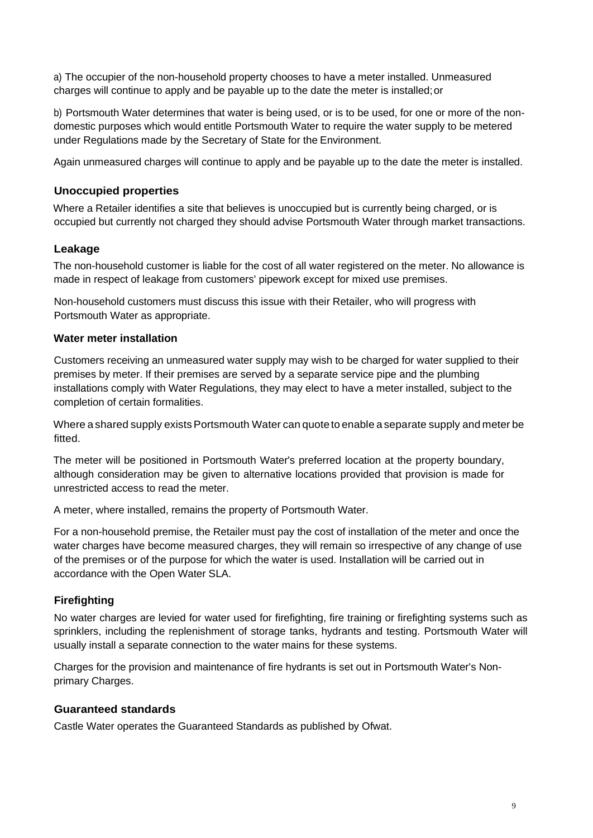a) The occupier of the non-household property chooses to have a meter installed. Unmeasured charges will continue to apply and be payable up to the date the meter is installed;or

b) Portsmouth Water determines that water is being used, or is to be used, for one or more of the nondomestic purposes which would entitle Portsmouth Water to require the water supply to be metered under Regulations made by the Secretary of State for the Environment.

Again unmeasured charges will continue to apply and be payable up to the date the meter is installed.

#### **Unoccupied properties**

Where a Retailer identifies a site that believes is unoccupied but is currently being charged, or is occupied but currently not charged they should advise Portsmouth Water through market transactions.

#### **Leakage**

The non-household customer is liable for the cost of all water registered on the meter. No allowance is made in respect of leakage from customers' pipework except for mixed use premises.

Non-household customers must discuss this issue with their Retailer, who will progress with Portsmouth Water as appropriate.

#### **Water meter installation**

Customers receiving an unmeasured water supply may wish to be charged for water supplied to their premises by meter. If their premises are served by a separate service pipe and the plumbing installations comply with Water Regulations, they may elect to have a meter installed, subject to the completion of certain formalities.

Where a shared supply exists Portsmouth Water can quote to enable a separate supply and meter be fitted.

The meter will be positioned in Portsmouth Water's preferred location at the property boundary, although consideration may be given to alternative locations provided that provision is made for unrestricted access to read the meter.

A meter, where installed, remains the property of Portsmouth Water.

For a non-household premise, the Retailer must pay the cost of installation of the meter and once the water charges have become measured charges, they will remain so irrespective of any change of use of the premises or of the purpose for which the water is used. Installation will be carried out in accordance with the Open Water SLA.

#### **Firefighting**

No water charges are levied for water used for firefighting, fire training or firefighting systems such as sprinklers, including the replenishment of storage tanks, hydrants and testing. Portsmouth Water will usually install a separate connection to the water mains for these systems.

Charges for the provision and maintenance of fire hydrants is set out in Portsmouth Water's Nonprimary Charges.

#### **Guaranteed standards**

Castle Water operates the Guaranteed Standards as published by Ofwat.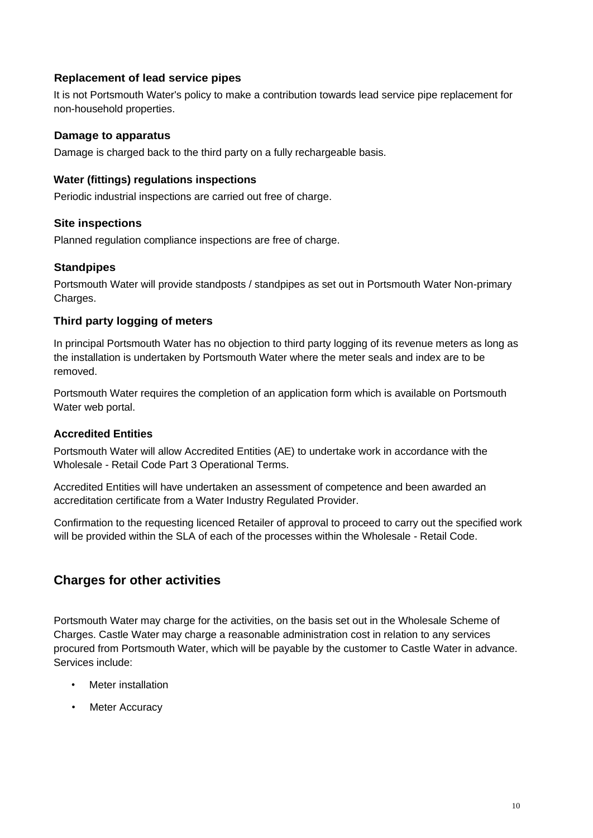#### **Replacement of lead service pipes**

It is not Portsmouth Water's policy to make a contribution towards lead service pipe replacement for non-household properties.

#### **Damage to apparatus**

Damage is charged back to the third party on a fully rechargeable basis.

#### **Water (fittings) regulations inspections**

Periodic industrial inspections are carried out free of charge.

#### **Site inspections**

Planned regulation compliance inspections are free of charge.

#### **Standpipes**

Portsmouth Water will provide standposts / standpipes as set out in Portsmouth Water Non-primary Charges.

#### **Third party logging of meters**

In principal Portsmouth Water has no objection to third party logging of its revenue meters as long as the installation is undertaken by Portsmouth Water where the meter seals and index are to be removed.

Portsmouth Water requires the completion of an application form which is available on Portsmouth Water web portal.

#### **Accredited Entities**

Portsmouth Water will allow Accredited Entities (AE) to undertake work in accordance with the Wholesale - Retail Code Part 3 Operational Terms.

Accredited Entities will have undertaken an assessment of competence and been awarded an accreditation certificate from a Water Industry Regulated Provider.

Confirmation to the requesting licenced Retailer of approval to proceed to carry out the specified work will be provided within the SLA of each of the processes within the Wholesale - Retail Code.

## **Charges for other activities**

Portsmouth Water may charge for the activities, on the basis set out in the Wholesale Scheme of Charges. Castle Water may charge a reasonable administration cost in relation to any services procured from Portsmouth Water, which will be payable by the customer to Castle Water in advance. Services include:

- Meter installation
- **Meter Accuracy**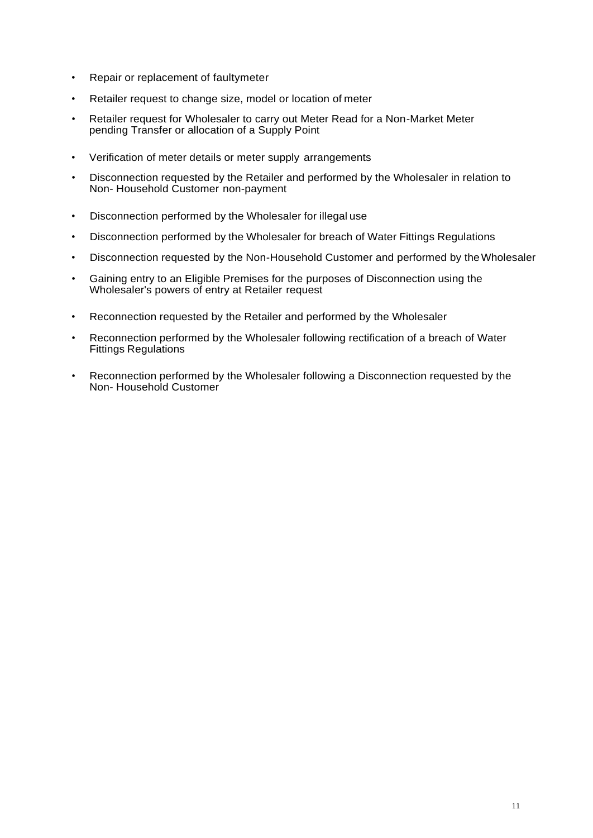- Repair or replacement of faultymeter
- Retailer request to change size, model or location of meter
- Retailer request for Wholesaler to carry out Meter Read for a Non-Market Meter pending Transfer or allocation of a Supply Point
- Verification of meter details or meter supply arrangements
- Disconnection requested by the Retailer and performed by the Wholesaler in relation to Non- Household Customer non-payment
- Disconnection performed by the Wholesaler for illegal use
- Disconnection performed by the Wholesaler for breach of Water Fittings Regulations
- Disconnection requested by the Non-Household Customer and performed by theWholesaler
- Gaining entry to an Eligible Premises for the purposes of Disconnection using the Wholesaler's powers of entry at Retailer request
- Reconnection requested by the Retailer and performed by the Wholesaler
- Reconnection performed by the Wholesaler following rectification of a breach of Water Fittings Regulations
- Reconnection performed by the Wholesaler following a Disconnection requested by the Non- Household Customer